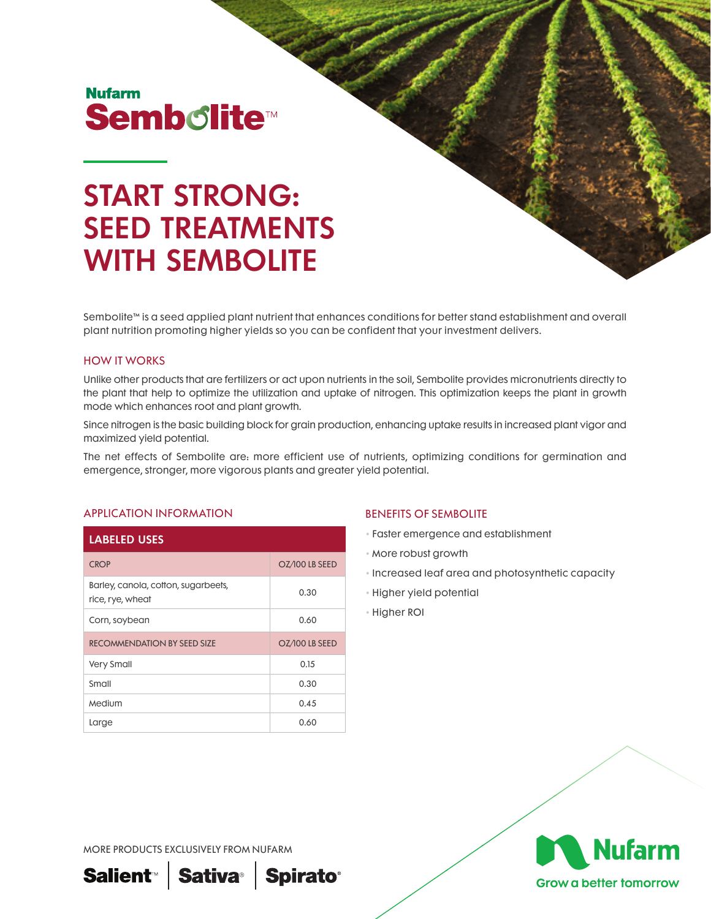# **Nufarm Sembolite<sup>®</sup>**

# START STRONG: SEED TREATMENTS WITH SEMBOLITE

Sembolite™ is a seed applied plant nutrient that enhances conditions for better stand establishment and overall plant nutrition promoting higher yields so you can be confident that your investment delivers.

#### HOW IT WORKS

Unlike other products that are fertilizers or act upon nutrients in the soil, Sembolite provides micronutrients directly to the plant that help to optimize the utilization and uptake of nitrogen. This optimization keeps the plant in growth mode which enhances root and plant growth.

Since nitrogen is the basic building block for grain production, enhancing uptake results in increased plant vigor and maximized yield potential.

The net effects of Sembolite are: more efficient use of nutrients, optimizing conditions for germination and emergence, stronger, more vigorous plants and greater yield potential.

## APPLICATION INFORMATION

| <b>LABELED USES</b>                                     |                |
|---------------------------------------------------------|----------------|
| <b>CROP</b>                                             | OZ/100 LB SEED |
| Barley, canola, cotton, sugarbeets,<br>rice, rye, wheat | 0.30           |
| Corn, soybean                                           | 0.60           |
| <b>RECOMMENDATION BY SEED SIZE</b>                      | OZ/100 LB SEED |
| <b>Very Small</b>                                       | 0.15           |
| Small                                                   | 0.30           |
| Medium                                                  | 0.45           |
| Large                                                   | 0.60           |

#### BENEFITS OF SEMBOLITE

- Faster emergence and establishment
- More robust growth
- Increased leaf area and photosynthetic capacity
- Higher yield potential
- Higher ROI



**Grow a better tomorrow** 

MORE PRODUCTS EXCLUSIVELY FROM NUFARM